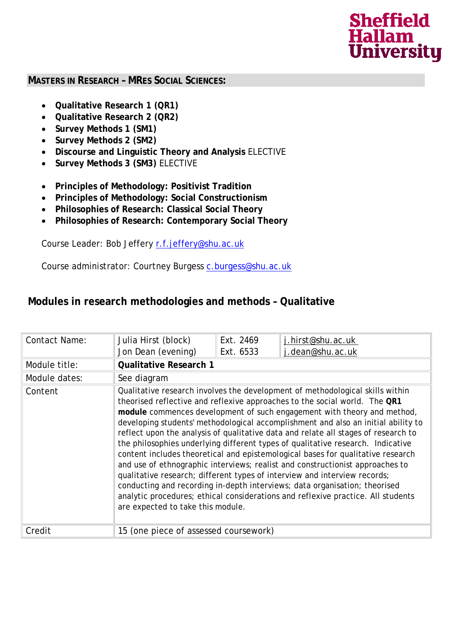# **Sheffield Hallam University**

#### **MASTERS IN RESEARCH – MRES SOCIAL SCIENCES:**

- **Qualitative Research 1 (QR1)**
- **Qualitative Research 2 (QR2)**
- **Survey Methods 1 (SM1)**
- **Survey Methods 2 (SM2)**
- **Discourse and Linguistic Theory and Analysis** *ELECTIVE*
- **Survey Methods 3 (SM3)** ELECTIVE
- **Principles of Methodology: Positivist Tradition**
- **Principles of Methodology: Social Constructionism**
- **Philosophies of Research: Classical Social Theory**
- **Philosophies of Research: Contemporary Social Theory**

Course Leader: Bob Jeffery [r.f.jeffery@shu.ac.uk](mailto:r.f.jeffery@shu.ac.uk)

Course administrator: Courtney Burgess [c.burgess@shu.ac.uk](mailto:c.burgess@shu.ac.uk)

### **Modules in research methodologies and methods – Qualitative**

| Contact Name: | Julia Hirst (block)                                                                                                                                                                                                                                                                                                                                                                                                                                                                                                                                                                                                                                                                                                                                                                                                                                                                                                                                          | Ext. 2469 | j.hirst@shu.ac.uk |
|---------------|--------------------------------------------------------------------------------------------------------------------------------------------------------------------------------------------------------------------------------------------------------------------------------------------------------------------------------------------------------------------------------------------------------------------------------------------------------------------------------------------------------------------------------------------------------------------------------------------------------------------------------------------------------------------------------------------------------------------------------------------------------------------------------------------------------------------------------------------------------------------------------------------------------------------------------------------------------------|-----------|-------------------|
|               | Jon Dean (evening)                                                                                                                                                                                                                                                                                                                                                                                                                                                                                                                                                                                                                                                                                                                                                                                                                                                                                                                                           | Ext. 6533 | j.dean@shu.ac.uk  |
| Module title: | <b>Qualitative Research 1</b>                                                                                                                                                                                                                                                                                                                                                                                                                                                                                                                                                                                                                                                                                                                                                                                                                                                                                                                                |           |                   |
| Module dates: | See diagram                                                                                                                                                                                                                                                                                                                                                                                                                                                                                                                                                                                                                                                                                                                                                                                                                                                                                                                                                  |           |                   |
| Content       | Qualitative research involves the development of methodological skills within<br>theorised reflective and reflexive approaches to the social world. The QR1<br>module commences development of such engagement with theory and method,<br>developing students' methodological accomplishment and also an initial ability to<br>reflect upon the analysis of qualitative data and relate all stages of research to<br>the philosophies underlying different types of qualitative research. Indicative<br>content includes theoretical and epistemological bases for qualitative research<br>and use of ethnographic interviews; realist and constructionist approaches to<br>qualitative research; different types of interview and interview records;<br>conducting and recording in-depth interviews; data organisation; theorised<br>analytic procedures; ethical considerations and reflexive practice. All students<br>are expected to take this module. |           |                   |
| Credit        | 15 (one piece of assessed coursework)                                                                                                                                                                                                                                                                                                                                                                                                                                                                                                                                                                                                                                                                                                                                                                                                                                                                                                                        |           |                   |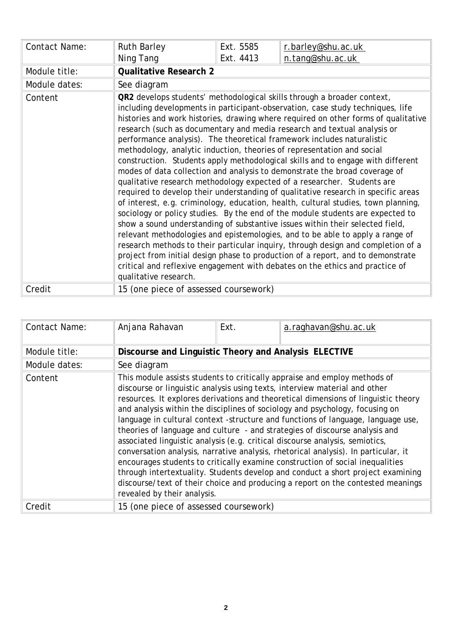| Contact Name: | <b>Ruth Barley</b>                                                                                                                                                                                                                                                                                                                                                                                                                                                                                                                                                                                                                                                                                                                                                                                                                                                                                                                                                                                                                                                                                                                                                                                                                                                                                                                                                                                                | Ext. 5585 | r.barley@shu.ac.uk |
|---------------|-------------------------------------------------------------------------------------------------------------------------------------------------------------------------------------------------------------------------------------------------------------------------------------------------------------------------------------------------------------------------------------------------------------------------------------------------------------------------------------------------------------------------------------------------------------------------------------------------------------------------------------------------------------------------------------------------------------------------------------------------------------------------------------------------------------------------------------------------------------------------------------------------------------------------------------------------------------------------------------------------------------------------------------------------------------------------------------------------------------------------------------------------------------------------------------------------------------------------------------------------------------------------------------------------------------------------------------------------------------------------------------------------------------------|-----------|--------------------|
|               | Ning Tang                                                                                                                                                                                                                                                                                                                                                                                                                                                                                                                                                                                                                                                                                                                                                                                                                                                                                                                                                                                                                                                                                                                                                                                                                                                                                                                                                                                                         | Ext. 4413 | n.tang@shu.ac.uk   |
| Module title: | <b>Qualitative Research 2</b>                                                                                                                                                                                                                                                                                                                                                                                                                                                                                                                                                                                                                                                                                                                                                                                                                                                                                                                                                                                                                                                                                                                                                                                                                                                                                                                                                                                     |           |                    |
| Module dates: | See diagram                                                                                                                                                                                                                                                                                                                                                                                                                                                                                                                                                                                                                                                                                                                                                                                                                                                                                                                                                                                                                                                                                                                                                                                                                                                                                                                                                                                                       |           |                    |
| Content       | QR2 develops students' methodological skills through a broader context,<br>including developments in participant-observation, case study techniques, life<br>histories and work histories, drawing where required on other forms of qualitative<br>research (such as documentary and media research and textual analysis or<br>performance analysis). The theoretical framework includes naturalistic<br>methodology, analytic induction, theories of representation and social<br>construction. Students apply methodological skills and to engage with different<br>modes of data collection and analysis to demonstrate the broad coverage of<br>qualitative research methodology expected of a researcher. Students are<br>required to develop their understanding of qualitative research in specific areas<br>of interest, e.g. criminology, education, health, cultural studies, town planning,<br>sociology or policy studies. By the end of the module students are expected to<br>show a sound understanding of substantive issues within their selected field,<br>relevant methodologies and epistemologies, and to be able to apply a range of<br>research methods to their particular inquiry, through design and completion of a<br>project from initial design phase to production of a report, and to demonstrate<br>critical and reflexive engagement with debates on the ethics and practice of |           |                    |
| Credit        | 15 (one piece of assessed coursework)                                                                                                                                                                                                                                                                                                                                                                                                                                                                                                                                                                                                                                                                                                                                                                                                                                                                                                                                                                                                                                                                                                                                                                                                                                                                                                                                                                             |           |                    |

| <b>Contact Name:</b> | Anjana Rahavan                                        | Ext.                                                                                                                                                                                                                                                                                                                                                                                                                                                                                                                                                                                                                                                                                                                                                                                                                                                                                                                          | a.raghavan@shu.ac.uk |  |
|----------------------|-------------------------------------------------------|-------------------------------------------------------------------------------------------------------------------------------------------------------------------------------------------------------------------------------------------------------------------------------------------------------------------------------------------------------------------------------------------------------------------------------------------------------------------------------------------------------------------------------------------------------------------------------------------------------------------------------------------------------------------------------------------------------------------------------------------------------------------------------------------------------------------------------------------------------------------------------------------------------------------------------|----------------------|--|
| Module title:        | Discourse and Linguistic Theory and Analysis ELECTIVE |                                                                                                                                                                                                                                                                                                                                                                                                                                                                                                                                                                                                                                                                                                                                                                                                                                                                                                                               |                      |  |
| Module dates:        | See diagram                                           |                                                                                                                                                                                                                                                                                                                                                                                                                                                                                                                                                                                                                                                                                                                                                                                                                                                                                                                               |                      |  |
| Content              | revealed by their analysis.                           | This module assists students to critically appraise and employ methods of<br>discourse or linguistic analysis using texts, interview material and other<br>resources. It explores derivations and theoretical dimensions of linguistic theory<br>and analysis within the disciplines of sociology and psychology, focusing on<br>language in cultural context -structure and functions of language, language use,<br>theories of language and culture - and strategies of discourse analysis and<br>associated linguistic analysis (e.g. critical discourse analysis, semiotics,<br>conversation analysis, narrative analysis, rhetorical analysis). In particular, it<br>encourages students to critically examine construction of social inequalities<br>through intertextuality. Students develop and conduct a short project examining<br>discourse/text of their choice and producing a report on the contested meanings |                      |  |
| Credit               | 15 (one piece of assessed coursework)                 |                                                                                                                                                                                                                                                                                                                                                                                                                                                                                                                                                                                                                                                                                                                                                                                                                                                                                                                               |                      |  |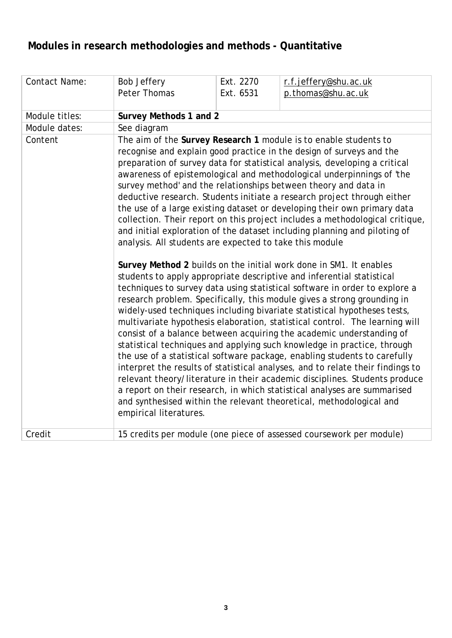## **Modules in research methodologies and methods - Quantitative**

| <b>Contact Name:</b> | <b>Bob Jeffery</b><br>Peter Thomas                                                | Ext. 2270<br>Ext. 6531 | r.f.jeffery@shu.ac.uk<br>p.thomas@shu.ac.uk                                                                                                                                                                                                                                                                                                                                                                                                                                                                                                                                                                                                                                                                                                                                                                                                                                                                                                                                                                                                                                                                                                                                                                                                                                                                                                                                                                                                                                                                                                                                                                                                                                                                  |
|----------------------|-----------------------------------------------------------------------------------|------------------------|--------------------------------------------------------------------------------------------------------------------------------------------------------------------------------------------------------------------------------------------------------------------------------------------------------------------------------------------------------------------------------------------------------------------------------------------------------------------------------------------------------------------------------------------------------------------------------------------------------------------------------------------------------------------------------------------------------------------------------------------------------------------------------------------------------------------------------------------------------------------------------------------------------------------------------------------------------------------------------------------------------------------------------------------------------------------------------------------------------------------------------------------------------------------------------------------------------------------------------------------------------------------------------------------------------------------------------------------------------------------------------------------------------------------------------------------------------------------------------------------------------------------------------------------------------------------------------------------------------------------------------------------------------------------------------------------------------------|
| Module titles:       | Survey Methods 1 and 2                                                            |                        |                                                                                                                                                                                                                                                                                                                                                                                                                                                                                                                                                                                                                                                                                                                                                                                                                                                                                                                                                                                                                                                                                                                                                                                                                                                                                                                                                                                                                                                                                                                                                                                                                                                                                                              |
| Module dates:        | See diagram                                                                       |                        |                                                                                                                                                                                                                                                                                                                                                                                                                                                                                                                                                                                                                                                                                                                                                                                                                                                                                                                                                                                                                                                                                                                                                                                                                                                                                                                                                                                                                                                                                                                                                                                                                                                                                                              |
| Content              | analysis. All students are expected to take this module<br>empirical literatures. |                        | The aim of the Survey Research 1 module is to enable students to<br>recognise and explain good practice in the design of surveys and the<br>preparation of survey data for statistical analysis, developing a critical<br>awareness of epistemological and methodological underpinnings of 'the<br>survey method' and the relationships between theory and data in<br>deductive research. Students initiate a research project through either<br>the use of a large existing dataset or developing their own primary data<br>collection. Their report on this project includes a methodological critique,<br>and initial exploration of the dataset including planning and piloting of<br>Survey Method 2 builds on the initial work done in SM1. It enables<br>students to apply appropriate descriptive and inferential statistical<br>techniques to survey data using statistical software in order to explore a<br>research problem. Specifically, this module gives a strong grounding in<br>widely-used techniques including bivariate statistical hypotheses tests,<br>multivariate hypothesis elaboration, statistical control. The learning will<br>consist of a balance between acquiring the academic understanding of<br>statistical techniques and applying such knowledge in practice, through<br>the use of a statistical software package, enabling students to carefully<br>interpret the results of statistical analyses, and to relate their findings to<br>relevant theory/literature in their academic disciplines. Students produce<br>a report on their research, in which statistical analyses are summarised<br>and synthesised within the relevant theoretical, methodological and |
| Credit               |                                                                                   |                        | 15 credits per module (one piece of assessed coursework per module)                                                                                                                                                                                                                                                                                                                                                                                                                                                                                                                                                                                                                                                                                                                                                                                                                                                                                                                                                                                                                                                                                                                                                                                                                                                                                                                                                                                                                                                                                                                                                                                                                                          |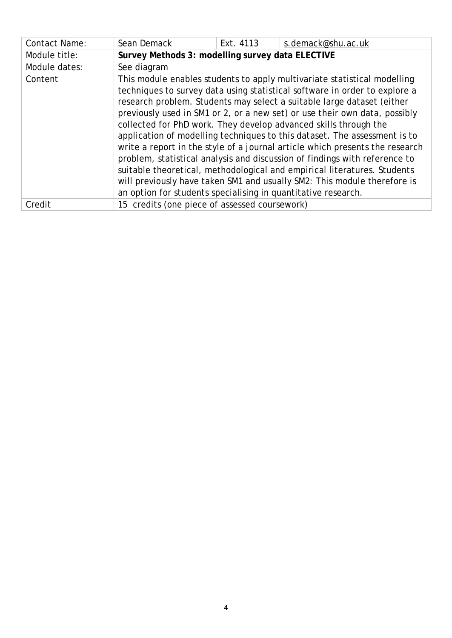| <b>Contact Name:</b> | Sean Demack                                                                                                                                                                                                                                                                                                                                                                                                                                                                                                                                                                                                                                                                                                                                                                                                                                            | Ext. 4113 | s.demack@shu.ac.uk |
|----------------------|--------------------------------------------------------------------------------------------------------------------------------------------------------------------------------------------------------------------------------------------------------------------------------------------------------------------------------------------------------------------------------------------------------------------------------------------------------------------------------------------------------------------------------------------------------------------------------------------------------------------------------------------------------------------------------------------------------------------------------------------------------------------------------------------------------------------------------------------------------|-----------|--------------------|
| Module title:        | Survey Methods 3: modelling survey data ELECTIVE                                                                                                                                                                                                                                                                                                                                                                                                                                                                                                                                                                                                                                                                                                                                                                                                       |           |                    |
| Module dates:        | See diagram                                                                                                                                                                                                                                                                                                                                                                                                                                                                                                                                                                                                                                                                                                                                                                                                                                            |           |                    |
| Content              | This module enables students to apply multivariate statistical modelling<br>techniques to survey data using statistical software in order to explore a<br>research problem. Students may select a suitable large dataset (either<br>previously used in SM1 or 2, or a new set) or use their own data, possibly<br>collected for PhD work. They develop advanced skills through the<br>application of modelling techniques to this dataset. The assessment is to<br>write a report in the style of a journal article which presents the research<br>problem, statistical analysis and discussion of findings with reference to<br>suitable theoretical, methodological and empirical literatures. Students<br>will previously have taken SM1 and usually SM2: This module therefore is<br>an option for students specialising in quantitative research. |           |                    |
| Credit               | 15 credits (one piece of assessed coursework)                                                                                                                                                                                                                                                                                                                                                                                                                                                                                                                                                                                                                                                                                                                                                                                                          |           |                    |